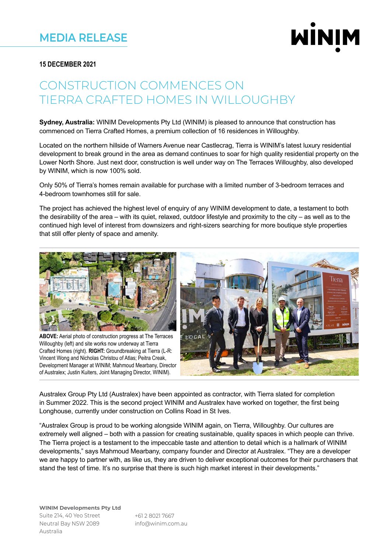

### **15 DECEMBER 2021**

# CONSTRUCTION COMMENCES ON TIERRA CRAFTED HOMES IN WILLOUGHBY

**Sydney, Australia:** WINIM Developments Pty Ltd (WINIM) is pleased to announce that construction has commenced on Tierra Crafted Homes, a premium collection of 16 residences in Willoughby.

Located on the northern hillside of Warners Avenue near Castlecrag, Tierra is WINIM's latest luxury residential development to break ground in the area as demand continues to soar for high quality residential property on the Lower North Shore. Just next door, construction is well under way on The Terraces Willoughby, also developed by WINIM, which is now 100% sold.

Only 50% of Tierra's homes remain available for purchase with a limited number of 3-bedroom terraces and 4-bedroom townhomes still for sale.

The project has achieved the highest level of enquiry of any WINIM development to date, a testament to both the desirability of the area – with its quiet, relaxed, outdoor lifestyle and proximity to the city – as well as to the continued high level of interest from downsizers and right-sizers searching for more boutique style properties that still offer plenty of space and amenity.



**ABOVE:** Aerial photo of construction progress at The Terraces Willoughby (left) and site works now underway at Tierra Crafted Homes (right). **RIGHT:** Groundbreaking at Tierra (L-R: Vincent Wong and Nicholas Christou of Atlas; Peitra Creak, Development Manager at WINIM; Mahmoud Mearbany, Director of Australex; Justin Kuiters, Joint Managing Director, WINIM).



Australex Group Pty Ltd (Australex) have been appointed as contractor, with Tierra slated for completion in Summer 2022. This is the second project WINIM and Australex have worked on together, the first being Longhouse, currently under construction on Collins Road in St Ives.

"Australex Group is proud to be working alongside WINIM again, on Tierra, Willoughby. Our cultures are extremely well aligned – both with a passion for creating sustainable, quality spaces in which people can thrive. The Tierra project is a testament to the impeccable taste and attention to detail which is a hallmark of WINIM developments," says Mahmoud Mearbany, company founder and Director at Australex. "They are a developer we are happy to partner with, as like us, they are driven to deliver exceptional outcomes for their purchasers that stand the test of time. It's no surprise that there is such high market interest in their developments."

+61 2 8021 7667 info@winim.com.au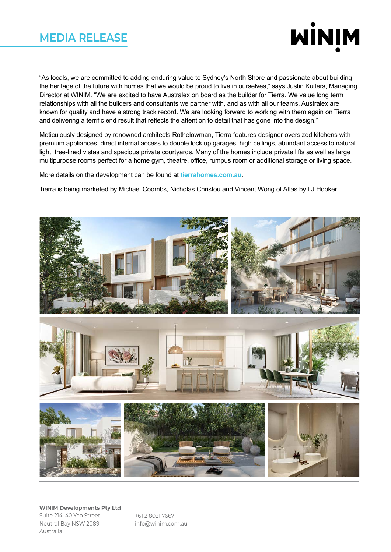### **MEDIA RELEASE**



"As locals, we are committed to adding enduring value to Sydney's North Shore and passionate about building the heritage of the future with homes that we would be proud to live in ourselves," says Justin Kuiters, Managing Director at WINIM. "We are excited to have Australex on board as the builder for Tierra. We value long term relationships with all the builders and consultants we partner with, and as with all our teams, Australex are known for quality and have a strong track record. We are looking forward to working with them again on Tierra and delivering a terrific end result that reflects the attention to detail that has gone into the design."

Meticulously designed by renowned architects Rothelowman, Tierra features designer oversized kitchens with premium appliances, direct internal access to double lock up garages, high ceilings, abundant access to natural light, tree-lined vistas and spacious private courtyards. Many of the homes include private lifts as well as large multipurpose rooms perfect for a home gym, theatre, office, rumpus room or additional storage or living space.

More details on the development can be found at **tierrahomes.com.au**.

Tierra is being marketed by Michael Coombs, Nicholas Christou and Vincent Wong of Atlas by LJ Hooker.



+61 2 8021 7667 info@winim.com.au